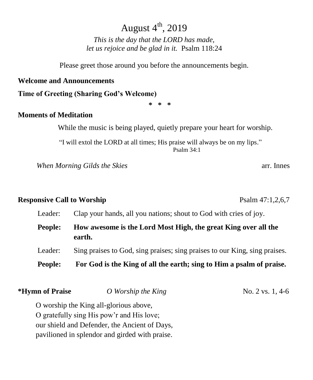# August  $4^{\text{th}}$ , 2019

*This is the day that the LORD has made, let us rejoice and be glad in it.* Psalm 118:24

Please greet those around you before the announcements begin.

### **Welcome and Announcements**

**Time of Greeting (Sharing God's Welcome)**

**\* \* \***

## **Moments of Meditation**

While the music is being played, quietly prepare your heart for worship.

"I will extol the LORD at all times; His praise will always be on my lips." Psalm 34:1

*When Morning Gilds the Skies* arr. Innes

# **Responsive Call to Worship**  Psalm 47:1,2,6,7 Leader: Clap your hands, all you nations; shout to God with cries of joy. **People: How awesome is the Lord Most High, the great King over all the earth.** Leader: Sing praises to God, sing praises; sing praises to our King, sing praises. **People: For God is the King of all the earth; sing to Him a psalm of praise.**

| *Hymn of Praise | O Worship the King                             | No. 2 vs. $1, 4-6$ |
|-----------------|------------------------------------------------|--------------------|
|                 | O worship the King all-glorious above,         |                    |
|                 | O gratefully sing His pow'r and His love;      |                    |
|                 | our shield and Defender, the Ancient of Days,  |                    |
|                 | pavilioned in splendor and girded with praise. |                    |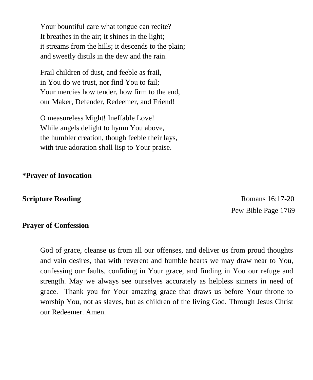Your bountiful care what tongue can recite? It breathes in the air; it shines in the light; it streams from the hills; it descends to the plain; and sweetly distils in the dew and the rain.

Frail children of dust, and feeble as frail, in You do we trust, nor find You to fail; Your mercies how tender, how firm to the end, our Maker, Defender, Redeemer, and Friend!

O measureless Might! Ineffable Love! While angels delight to hymn You above, the humbler creation, though feeble their lays, with true adoration shall lisp to Your praise.

## **\*Prayer of Invocation**

**Scripture Reading Romans 16:17-20** *Romans 16:17-20* Pew Bible Page 1769

### **Prayer of Confession**

God of grace, cleanse us from all our offenses, and deliver us from proud thoughts and vain desires, that with reverent and humble hearts we may draw near to You, confessing our faults, confiding in Your grace, and finding in You our refuge and strength. May we always see ourselves accurately as helpless sinners in need of grace. Thank you for Your amazing grace that draws us before Your throne to worship You, not as slaves, but as children of the living God. Through Jesus Christ our Redeemer. Amen.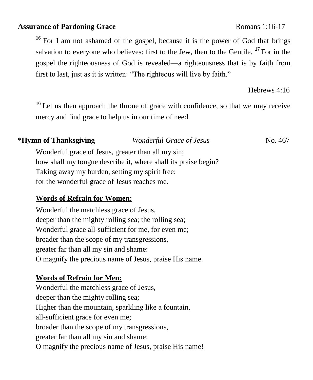## **Assurance of Pardoning Grace Romans 1:16-17 Romans 1:16-17**

**<sup>16</sup>**For I am not ashamed of the gospel, because it is the power of God that brings salvation to everyone who believes: first to the Jew, then to the Gentile. **<sup>17</sup>** For in the gospel the righteousness of God is revealed—a righteousness that is by faith from first to last, just as it is written: "The righteous will live by faith."

Hebrews 4:16

**<sup>16</sup>**Let us then approach the throne of grace with confidence, so that we may receive mercy and find grace to help us in our time of need.

# **\*Hymn of Thanksgiving** *Wonderful Grace of Jesus* No. 467

Wonderful grace of Jesus, greater than all my sin; how shall my tongue describe it, where shall its praise begin? Taking away my burden, setting my spirit free; for the wonderful grace of Jesus reaches me.

# **Words of Refrain for Women:**

Wonderful the matchless grace of Jesus, deeper than the mighty rolling sea; the rolling sea; Wonderful grace all-sufficient for me, for even me; broader than the scope of my transgressions, greater far than all my sin and shame: O magnify the precious name of Jesus, praise His name.

# **Words of Refrain for Men:**

Wonderful the matchless grace of Jesus, deeper than the mighty rolling sea; Higher than the mountain, sparkling like a fountain, all-sufficient grace for even me; broader than the scope of my transgressions, greater far than all my sin and shame: O magnify the precious name of Jesus, praise His name!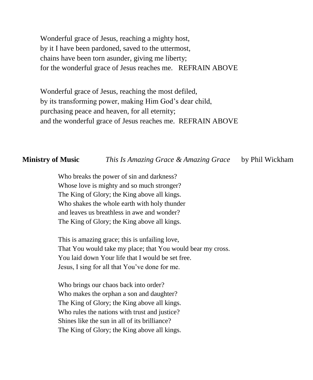Wonderful grace of Jesus, reaching a mighty host, by it I have been pardoned, saved to the uttermost, chains have been torn asunder, giving me liberty; for the wonderful grace of Jesus reaches me. REFRAIN ABOVE

Wonderful grace of Jesus, reaching the most defiled, by its transforming power, making Him God's dear child, purchasing peace and heaven, for all eternity; and the wonderful grace of Jesus reaches me. REFRAIN ABOVE

### **Ministry of Music** *This Is Amazing Grace & Amazing Grace* by Phil Wickham

Who breaks the power of sin and darkness? Whose love is mighty and so much stronger? The King of Glory; the King above all kings. Who shakes the whole earth with holy thunder and leaves us breathless in awe and wonder? The King of Glory; the King above all kings.

This is amazing grace; this is unfailing love, That You would take my place; that You would bear my cross. You laid down Your life that I would be set free. Jesus, I sing for all that You've done for me.

Who brings our chaos back into order? Who makes the orphan a son and daughter? The King of Glory; the King above all kings. Who rules the nations with trust and justice? Shines like the sun in all of its brilliance? The King of Glory; the King above all kings.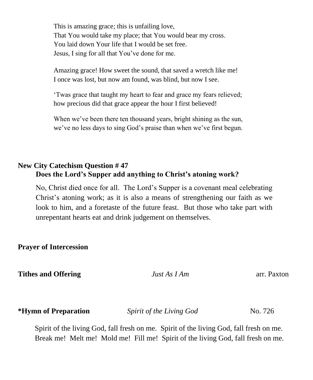This is amazing grace; this is unfailing love, That You would take my place; that You would bear my cross. You laid down Your life that I would be set free. Jesus, I sing for all that You've done for me.

Amazing grace! How sweet the sound, that saved a wretch like me! I once was lost, but now am found, was blind, but now I see.

'Twas grace that taught my heart to fear and grace my fears relieved; how precious did that grace appear the hour I first believed!

When we've been there ten thousand years, bright shining as the sun, we've no less days to sing God's praise than when we've first begun.

# **New City Catechism Question # 47 Does the Lord's Supper add anything to Christ's atoning work?**

No, Christ died once for all. The Lord's Supper is a covenant meal celebrating Christ's atoning work; as it is also a means of strengthening our faith as we look to him, and a foretaste of the future feast. But those who take part with unrepentant hearts eat and drink judgement on themselves.

**Prayer of Intercession**

| <b>Tithes and Offering</b> | Just As I Am             | arr. Paxton |  |
|----------------------------|--------------------------|-------------|--|
|                            |                          |             |  |
| *Hymn of Preparation       | Spirit of the Living God | No. 726     |  |

Spirit of the living God, fall fresh on me. Spirit of the living God, fall fresh on me. Break me! Melt me! Mold me! Fill me! Spirit of the living God, fall fresh on me.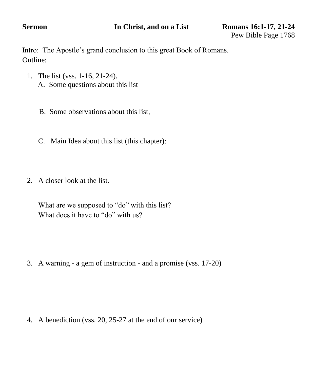Intro: The Apostle's grand conclusion to this great Book of Romans. Outline:

- 1. The list (vss. 1-16, 21-24). A. Some questions about this list
	- B. Some observations about this list,
	- C. Main Idea about this list (this chapter):
- 2. A closer look at the list.

What are we supposed to "do" with this list? What does it have to "do" with us?

3. A warning - a gem of instruction - and a promise (vss. 17-20)

4. A benediction (vss. 20, 25-27 at the end of our service)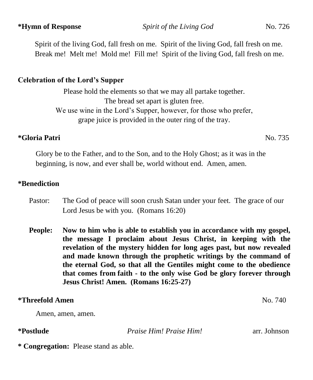Spirit of the living God, fall fresh on me. Spirit of the living God, fall fresh on me. Break me! Melt me! Mold me! Fill me! Spirit of the living God, fall fresh on me.

### **Celebration of the Lord's Supper**

Please hold the elements so that we may all partake together. The bread set apart is gluten free. We use wine in the Lord's Supper, however, for those who prefer, grape juice is provided in the outer ring of the tray.

#### **\*Gloria Patri** No. 735

Glory be to the Father, and to the Son, and to the Holy Ghost; as it was in the beginning, is now, and ever shall be, world without end. Amen, amen.

#### **\*Benediction**

- Pastor: The God of peace will soon crush Satan under your feet. The grace of our Lord Jesus be with you. (Romans 16:20)
- **People: Now to him who is able to establish you in accordance with my gospel, the message I proclaim about Jesus Christ, in keeping with the revelation of the mystery hidden for long ages past, but now revealed and made known through the prophetic writings by the command of the eternal God, so that all the Gentiles might come to the obedience that comes from faith - to the only wise God be glory forever through Jesus Christ! Amen. (Romans 16:25-27)**

### **\*Threefold Amen** No. 740

Amen, amen, amen.

**\*Postlude** *Praise Him! Praise Him!* arr. Johnson

**\* Congregation:** Please stand as able.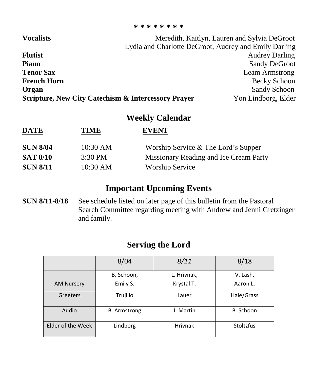| <b>Vocalists</b>                                               | Meredith, Kaitlyn, Lauren and Sylvia DeGroot          |
|----------------------------------------------------------------|-------------------------------------------------------|
|                                                                | Lydia and Charlotte DeGroot, Audrey and Emily Darling |
| <b>Flutist</b>                                                 | <b>Audrey Darling</b>                                 |
| <b>Piano</b>                                                   | <b>Sandy DeGroot</b>                                  |
| <b>Tenor Sax</b>                                               | Leam Armstrong                                        |
| <b>French Horn</b>                                             | Becky Schoon                                          |
| Organ                                                          | <b>Sandy Schoon</b>                                   |
| <b>Scripture, New City Catechism &amp; Intercessory Prayer</b> | Yon Lindborg, Elder                                   |

# **Weekly Calendar**

| <b>DATE</b>     | TIME       | <b>EVENT</b>                           |
|-----------------|------------|----------------------------------------|
| <b>SUN 8/04</b> | $10:30$ AM | Worship Service & The Lord's Supper    |
| <b>SAT 8/10</b> | $3:30$ PM  | Missionary Reading and Ice Cream Party |
| <b>SUN 8/11</b> | $10:30$ AM | <b>Worship Service</b>                 |

# **Important Upcoming Events**

**SUN 8/11-8/18** See schedule listed on later page of this bulletin from the Pastoral Search Committee regarding meeting with Andrew and Jenni Gretzinger and family.

# **Serving the Lord**

|                   | 8/04                | 8/11           | 8/18       |
|-------------------|---------------------|----------------|------------|
|                   | B. Schoon,          | L. Hrivnak,    | V. Lash,   |
| <b>AM Nursery</b> | Emily S.            | Krystal T.     | Aaron L.   |
| Greeters          | Trujillo            | Lauer          | Hale/Grass |
| Audio             | <b>B.</b> Armstrong | J. Martin      | B. Schoon  |
| Elder of the Week | Lindborg            | <b>Hrivnak</b> | Stoltzfus  |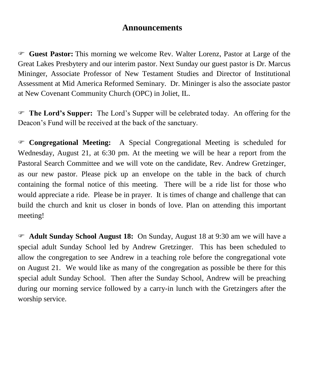# **Announcements**

 **Guest Pastor:** This morning we welcome Rev. Walter Lorenz, Pastor at Large of the Great Lakes Presbytery and our interim pastor. Next Sunday our guest pastor is Dr. Marcus Mininger, Associate Professor of New Testament Studies and Director of Institutional Assessment at Mid America Reformed Seminary. Dr. Mininger is also the associate pastor at New Covenant Community Church (OPC) in Joliet, IL.

 **The Lord's Supper:** The Lord's Supper will be celebrated today. An offering for the Deacon's Fund will be received at the back of the sanctuary.

 **Congregational Meeting:** A Special Congregational Meeting is scheduled for Wednesday, August 21, at 6:30 pm. At the meeting we will be hear a report from the Pastoral Search Committee and we will vote on the candidate, Rev. Andrew Gretzinger, as our new pastor. Please pick up an envelope on the table in the back of church containing the formal notice of this meeting. There will be a ride list for those who would appreciate a ride. Please be in prayer. It is times of change and challenge that can build the church and knit us closer in bonds of love. Plan on attending this important meeting!

 **Adult Sunday School August 18:** On Sunday, August 18 at 9:30 am we will have a special adult Sunday School led by Andrew Gretzinger. This has been scheduled to allow the congregation to see Andrew in a teaching role before the congregational vote on August 21. We would like as many of the congregation as possible be there for this special adult Sunday School. Then after the Sunday School, Andrew will be preaching during our morning service followed by a carry-in lunch with the Gretzingers after the worship service.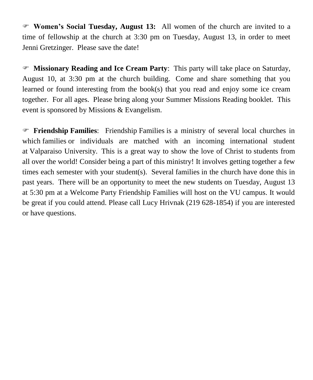**Women's Social Tuesday, August 13:** All women of the church are invited to a time of fellowship at the church at 3:30 pm on Tuesday, August 13, in order to meet Jenni Gretzinger. Please save the date!

 **Missionary Reading and Ice Cream Party**: This party will take place on Saturday, August 10, at 3:30 pm at the church building. Come and share something that you learned or found interesting from the book(s) that you read and enjoy some ice cream together. For all ages. Please bring along your Summer Missions Reading booklet. This event is sponsored by Missions & Evangelism.

 **Friendship Families**: Friendship Families is a ministry of several local churches in which families or individuals are matched with an incoming international student at Valparaiso University. This is a great way to show the love of Christ to students from all over the world! Consider being a part of this ministry! It involves getting together a few times each semester with your student(s). Several families in the church have done this in past years. There will be an opportunity to meet the new students on Tuesday, August 13 at 5:30 pm at a Welcome Party Friendship Families will host on the VU campus. It would be great if you could attend. Please call Lucy Hrivnak (219 628-1854) if you are interested or have questions.